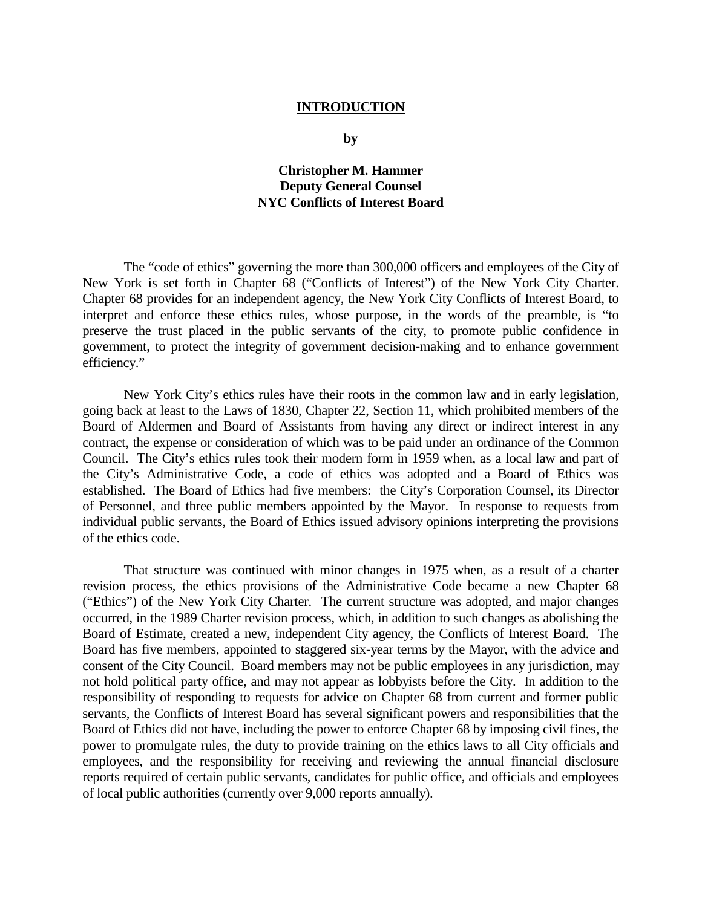## **INTRODUCTION**

**by** 

## **Christopher M. Hammer Deputy General Counsel NYC Conflicts of Interest Board**

The "code of ethics" governing the more than 300,000 officers and employees of the City of New York is set forth in Chapter 68 ("Conflicts of Interest") of the New York City Charter. Chapter 68 provides for an independent agency, the New York City Conflicts of Interest Board, to interpret and enforce these ethics rules, whose purpose, in the words of the preamble, is "to preserve the trust placed in the public servants of the city, to promote public confidence in government, to protect the integrity of government decision-making and to enhance government efficiency."

New York City's ethics rules have their roots in the common law and in early legislation, going back at least to the Laws of 1830, Chapter 22, Section 11, which prohibited members of the Board of Aldermen and Board of Assistants from having any direct or indirect interest in any contract, the expense or consideration of which was to be paid under an ordinance of the Common Council. The City's ethics rules took their modern form in 1959 when, as a local law and part of the City's Administrative Code, a code of ethics was adopted and a Board of Ethics was established. The Board of Ethics had five members: the City's Corporation Counsel, its Director of Personnel, and three public members appointed by the Mayor. In response to requests from individual public servants, the Board of Ethics issued advisory opinions interpreting the provisions of the ethics code.

That structure was continued with minor changes in 1975 when, as a result of a charter revision process, the ethics provisions of the Administrative Code became a new Chapter 68 ("Ethics") of the New York City Charter. The current structure was adopted, and major changes occurred, in the 1989 Charter revision process, which, in addition to such changes as abolishing the Board of Estimate, created a new, independent City agency, the Conflicts of Interest Board. The Board has five members, appointed to staggered six-year terms by the Mayor, with the advice and consent of the City Council. Board members may not be public employees in any jurisdiction, may not hold political party office, and may not appear as lobbyists before the City. In addition to the responsibility of responding to requests for advice on Chapter 68 from current and former public servants, the Conflicts of Interest Board has several significant powers and responsibilities that the Board of Ethics did not have, including the power to enforce Chapter 68 by imposing civil fines, the power to promulgate rules, the duty to provide training on the ethics laws to all City officials and employees, and the responsibility for receiving and reviewing the annual financial disclosure reports required of certain public servants, candidates for public office, and officials and employees of local public authorities (currently over 9,000 reports annually).